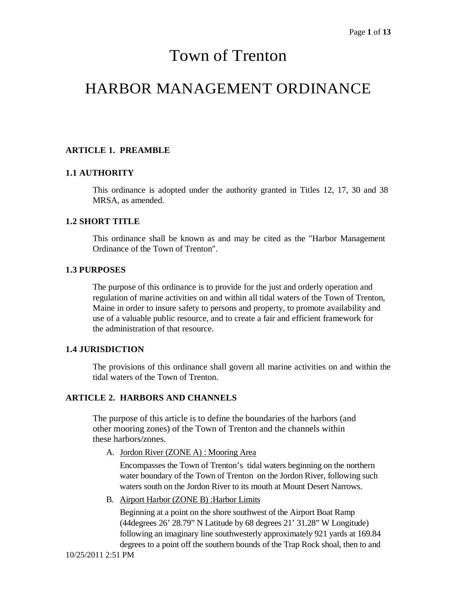# Town of Trenton

# HARBOR MANAGEMENT ORDINANCE

# **ARTICLE 1. PREAMBLE**

#### **1.1 AUTHORITY**

This ordinance is adopted under the authority granted in Titles 12, 17, 30 and 38 MRSA, as amended.

#### **1.2 SHORT TITLE**

This ordinance shall be known as and may be cited as the "Harbor Management Ordinance of the Town of Trenton".

#### **1.3 PURPOSES**

The purpose of this ordinance is to provide for the just and orderly operation and regulation of marine activities on and within all tidal waters of the Town of Trenton, Maine in order to insure safety to persons and property, to promote availability and use of a valuable public resource, and to create a fair and efficient framework for the administration of that resource.

# **1.4 JURISDICTION**

The provisions of this ordinance shall govern all marine activities on and within the tidal waters of the Town of Trenton.

# **ARTICLE 2. HARBORS AND CHANNELS**

The purpose of this article is to define the boundaries of the harbors (and other mooring zones) of the Town of Trenton and the channels within these harbors/zones.

A. Jordon River (ZONE A) : Mooring Area

Encompasses the Town of Trenton's tidal waters beginning on the northern water boundary of the Town of Trenton on the Jordon River, following such waters south on the Jordon River to its mouth at Mount Desert Narrows.

B. Airport Harbor (ZONE B) :Harbor Limits

Beginning at a point on the shore southwest of the Airport Boat Ramp (44degrees 26' 28.79" N Latitude by 68 degrees 21' 31.28" W Longitude) following an imaginary line southwesterly approximately 921 yards at 169.84 degrees to a point off the southern bounds of the Trap Rock shoal, then to and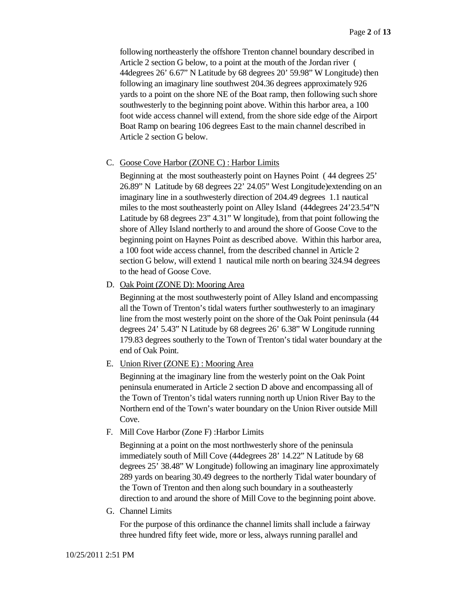following northeasterly the offshore Trenton channel boundary described in Article 2 section G below, to a point at the mouth of the Jordan river ( 44degrees 26' 6.67" N Latitude by 68 degrees 20' 59.98" W Longitude) then following an imaginary line southwest 204.36 degrees approximately 926 yards to a point on the shore NE of the Boat ramp, then following such shore southwesterly to the beginning point above. Within this harbor area, a 100 foot wide access channel will extend, from the shore side edge of the Airport Boat Ramp on bearing 106 degrees East to the main channel described in Article 2 section G below.

#### C. Goose Cove Harbor (ZONE C) : Harbor Limits

Beginning at the most southeasterly point on Haynes Point ( 44 degrees 25' 26.89" N Latitude by 68 degrees 22' 24.05" West Longitude)extending on an imaginary line in a southwesterly direction of 204.49 degrees 1.1 nautical miles to the most southeasterly point on Alley Island (44degrees 24'23.54"N Latitude by 68 degrees 23" 4.31" W longitude), from that point following the shore of Alley Island northerly to and around the shore of Goose Cove to the beginning point on Haynes Point as described above. Within this harbor area, a 100 foot wide access channel, from the described channel in Article 2 section G below, will extend 1 nautical mile north on bearing 324.94 degrees to the head of Goose Cove.

D. Oak Point (ZONE D): Mooring Area

Beginning at the most southwesterly point of Alley Island and encompassing all the Town of Trenton's tidal waters further southwesterly to an imaginary line from the most westerly point on the shore of the Oak Point peninsula (44 degrees 24' 5.43" N Latitude by 68 degrees 26' 6.38" W Longitude running 179.83 degrees southerly to the Town of Trenton's tidal water boundary at the end of Oak Point.

E. Union River (ZONE E) : Mooring Area

Beginning at the imaginary line from the westerly point on the Oak Point peninsula enumerated in Article 2 section D above and encompassing all of the Town of Trenton's tidal waters running north up Union River Bay to the Northern end of the Town's water boundary on the Union River outside Mill Cove.

F. Mill Cove Harbor (Zone F) :Harbor Limits

Beginning at a point on the most northwesterly shore of the peninsula immediately south of Mill Cove (44degrees 28' 14.22" N Latitude by 68 degrees 25' 38.48" W Longitude) following an imaginary line approximately 289 yards on bearing 30.49 degrees to the northerly Tidal water boundary of the Town of Trenton and then along such boundary in a southeasterly direction to and around the shore of Mill Cove to the beginning point above.

G. Channel Limits

For the purpose of this ordinance the channel limits shall include a fairway three hundred fifty feet wide, more or less, always running parallel and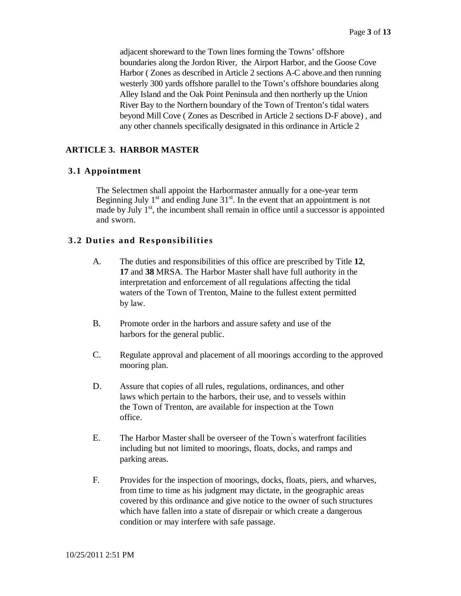adjacent shoreward to the Town lines forming the Towns' offshore boundaries along the Jordon River, the Airport Harbor, and the Goose Cove Harbor ( Zones as described in Article 2 sections A-C above.and then running westerly 300 yards offshore parallel to the Town's offshore boundaries along Alley Island and the Oak Point Peninsula and then northerly up the Union River Bay to the Northern boundary of the Town of Trenton's tidal waters beyond Mill Cove ( Zones as Described in Article 2 sections D-F above) , and any other channels specifically designated in this ordinance in Article 2

# **ARTICLE 3. HARBOR MASTER**

#### **3.1 Appointment**

The Selectmen shall appoint the Harbormaster annually for a one-year term Beginning July  $1<sup>st</sup>$  and ending June  $31<sup>st</sup>$ . In the event that an appointment is not made by July  $1<sup>st</sup>$ , the incumbent shall remain in office until a successor is appointed and sworn.

#### **3.2 Duties and Responsibilities**

- A. The duties and responsibilities of this office are prescribed by Title **12**, **17** and **38** MRSA. The Harbor Master shall have full authority in the interpretation and enforcement of all regulations affecting the tidal waters of the Town of Trenton, Maine to the fullest extent permitted by law.
- B. Promote order in the harbors and assure safety and use of the harbors for the general public.
- C. Regulate approval and placement of all moorings according to the approved mooring plan.
- D. Assure that copies of all rules, regulations, ordinances, and other laws which pertain to the harbors, their use, and to vessels within the Town of Trenton, are available for inspection at the Town office.
- E. The Harbor Master shall be overseer of the Town' s waterfront facilities including but not limited to moorings, floats, docks, and ramps and parking areas.
- F. Provides for the inspection of moorings, docks, floats, piers, and wharves, from time to time as his judgment may dictate, in the geographic areas covered by this ordinance and give notice to the owner of such structures which have fallen into a state of disrepair or which create a dangerous condition or may interfere with safe passage.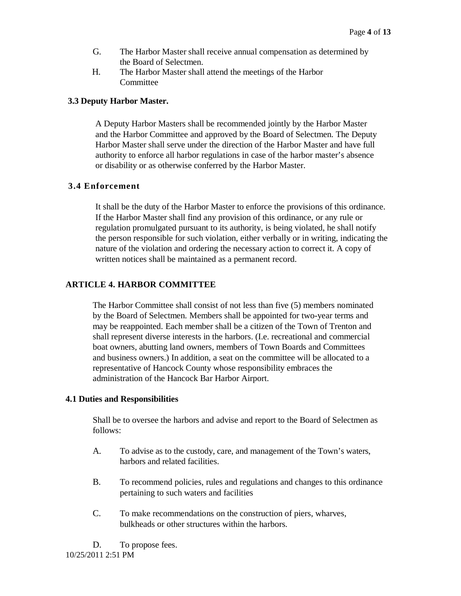- G. The Harbor Master shall receive annual compensation as determined by the Board of Selectmen.
- H. The Harbor Master shall attend the meetings of the Harbor Committee

#### **3.3 Deputy Harbor Master.**

A Deputy Harbor Masters shall be recommended jointly by the Harbor Master and the Harbor Committee and approved by the Board of Selectmen. The Deputy Harbor Master shall serve under the direction of the Harbor Master and have full authority to enforce all harbor regulations in case of the harbor master's absence or disability or as otherwise conferred by the Harbor Master.

# **3.4 Enforcement**

It shall be the duty of the Harbor Master to enforce the provisions of this ordinance. If the Harbor Master shall find any provision of this ordinance, or any rule or regulation promulgated pursuant to its authority, is being violated, he shall notify the person responsible for such violation, either verbally or in writing, indicating the nature of the violation and ordering the necessary action to correct it. A copy of written notices shall be maintained as a permanent record.

# **ARTICLE 4. HARBOR COMMITTEE**

The Harbor Committee shall consist of not less than five (5) members nominated by the Board of Selectmen. Members shall be appointed for two-year terms and may be reappointed. Each member shall be a citizen of the Town of Trenton and shall represent diverse interests in the harbors. (I.e. recreational and commercial boat owners, abutting land owners, members of Town Boards and Committees and business owners.) In addition, a seat on the committee will be allocated to a representative of Hancock County whose responsibility embraces the administration of the Hancock Bar Harbor Airport.

#### **4.1 Duties and Responsibilities**

Shall be to oversee the harbors and advise and report to the Board of Selectmen as follows:

- A. To advise as to the custody, care, and management of the Town's waters, harbors and related facilities.
- B. To recommend policies, rules and regulations and changes to this ordinance pertaining to such waters and facilities
- C. To make recommendations on the construction of piers, wharves, bulkheads or other structures within the harbors.

10/25/2011 2:51 PM D. To propose fees.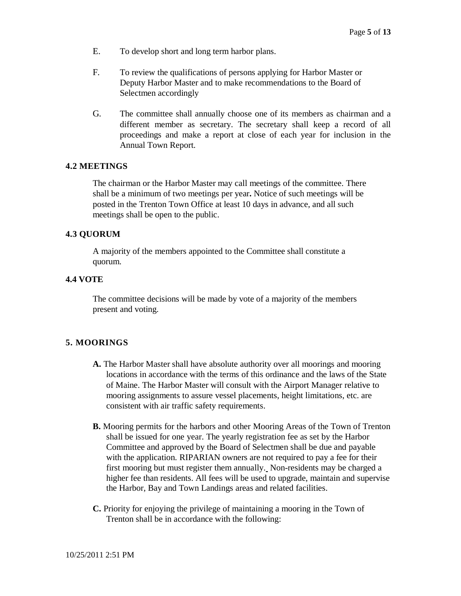- E. To develop short and long term harbor plans.
- F. To review the qualifications of persons applying for Harbor Master or Deputy Harbor Master and to make recommendations to the Board of Selectmen accordingly
- G. The committee shall annually choose one of its members as chairman and a different member as secretary. The secretary shall keep a record of all proceedings and make a report at close of each year for inclusion in the Annual Town Report.

#### **4.2 MEETINGS**

The chairman or the Harbor Master may call meetings of the committee. There shall be a minimum of two meetings per year**.** Notice of such meetings will be posted in the Trenton Town Office at least 10 days in advance, and all such meetings shall be open to the public.

#### **4.3 QUORUM**

A majority of the members appointed to the Committee shall constitute a quorum.

#### **4.4 VOTE**

The committee decisions will be made by vote of a majority of the members present and voting.

#### **5. MOORINGS**

- **A.** The Harbor Master shall have absolute authority over all moorings and mooring locations in accordance with the terms of this ordinance and the laws of the State of Maine. The Harbor Master will consult with the Airport Manager relative to mooring assignments to assure vessel placements, height limitations, etc. are consistent with air traffic safety requirements.
- **B.** Mooring permits for the harbors and other Mooring Areas of the Town of Trenton shall be issued for one year. The yearly registration fee as set by the Harbor Committee and approved by the Board of Selectmen shall be due and payable with the application. RIPARIAN owners are not required to pay a fee for their first mooring but must register them annually. Non-residents may be charged a higher fee than residents. All fees will be used to upgrade, maintain and supervise the Harbor, Bay and Town Landings areas and related facilities.
- **C.** Priority for enjoying the privilege of maintaining a mooring in the Town of Trenton shall be in accordance with the following: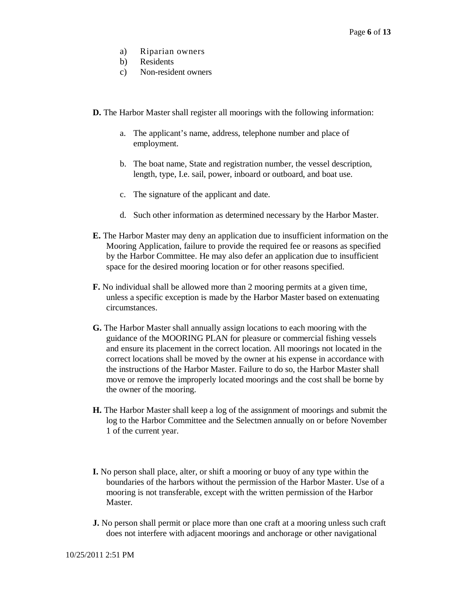- a) Riparian owners
- b) Residents
- c) Non-resident owners
- **D.** The Harbor Master shall register all moorings with the following information:
	- a. The applicant's name, address, telephone number and place of employment.
	- b. The boat name, State and registration number, the vessel description, length, type, I.e. sail, power, inboard or outboard, and boat use.
	- c. The signature of the applicant and date.
	- d. Such other information as determined necessary by the Harbor Master.
- **E.** The Harbor Master may deny an application due to insufficient information on the Mooring Application, failure to provide the required fee or reasons as specified by the Harbor Committee. He may also defer an application due to insufficient space for the desired mooring location or for other reasons specified.
- **F.** No individual shall be allowed more than 2 mooring permits at a given time, unless a specific exception is made by the Harbor Master based on extenuating circumstances.
- **G.** The Harbor Master shall annually assign locations to each mooring with the guidance of the MOORING PLAN for pleasure or commercial fishing vessels and ensure its placement in the correct location. All moorings not located in the correct locations shall be moved by the owner at his expense in accordance with the instructions of the Harbor Master. Failure to do so, the Harbor Master shall move or remove the improperly located moorings and the cost shall be borne by the owner of the mooring.
- **H.** The Harbor Master shall keep a log of the assignment of moorings and submit the log to the Harbor Committee and the Selectmen annually on or before November 1 of the current year.
- **I.** No person shall place, alter, or shift a mooring or buoy of any type within the boundaries of the harbors without the permission of the Harbor Master. Use of a mooring is not transferable, except with the written permission of the Harbor **Master**
- **J.** No person shall permit or place more than one craft at a mooring unless such craft does not interfere with adjacent moorings and anchorage or other navigational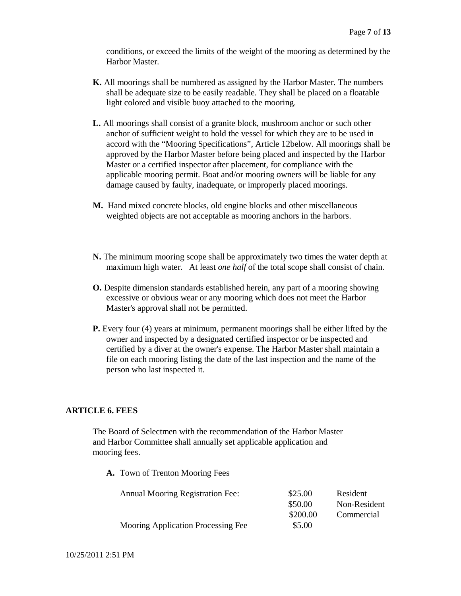conditions, or exceed the limits of the weight of the mooring as determined by the Harbor Master.

- **K.** All moorings shall be numbered as assigned by the Harbor Master. The numbers shall be adequate size to be easily readable. They shall be placed on a floatable light colored and visible buoy attached to the mooring.
- **L.** All moorings shall consist of a granite block, mushroom anchor or such other anchor of sufficient weight to hold the vessel for which they are to be used in accord with the "Mooring Specifications", Article 12below. All moorings shall be approved by the Harbor Master before being placed and inspected by the Harbor Master or a certified inspector after placement, for compliance with the applicable mooring permit. Boat and/or mooring owners will be liable for any damage caused by faulty, inadequate, or improperly placed moorings.
- **M.** Hand mixed concrete blocks, old engine blocks and other miscellaneous weighted objects are not acceptable as mooring anchors in the harbors.
- **N.** The minimum mooring scope shall be approximately two times the water depth at maximum high water. At least *one half* of the total scope shall consist of chain.
- **O.** Despite dimension standards established herein, any part of a mooring showing excessive or obvious wear or any mooring which does not meet the Harbor Master's approval shall not be permitted.
- **P.** Every four (4) years at minimum, permanent moorings shall be either lifted by the owner and inspected by a designated certified inspector or be inspected and certified by a diver at the owner's expense. The Harbor Master shall maintain a file on each mooring listing the date of the last inspection and the name of the person who last inspected it.

#### **ARTICLE 6. FEES**

The Board of Selectmen with the recommendation of the Harbor Master and Harbor Committee shall annually set applicable application and mooring fees.

**A.** Town of Trenton Mooring Fees

| <b>Annual Mooring Registration Fee:</b> | \$25.00  | Resident     |
|-----------------------------------------|----------|--------------|
|                                         | \$50.00  | Non-Resident |
|                                         | \$200.00 | Commercial   |
| Mooring Application Processing Fee      | \$5.00   |              |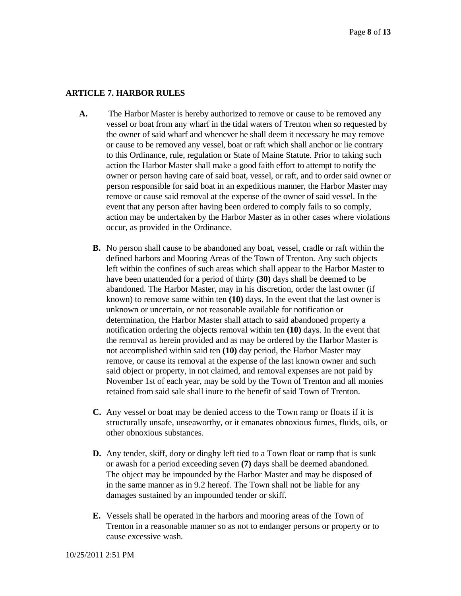# **ARTICLE 7. HARBOR RULES**

- **A.** The Harbor Master is hereby authorized to remove or cause to be removed any vessel or boat from any wharf in the tidal waters of Trenton when so requested by the owner of said wharf and whenever he shall deem it necessary he may remove or cause to be removed any vessel, boat or raft which shall anchor or lie contrary to this Ordinance, rule, regulation or State of Maine Statute. Prior to taking such action the Harbor Master shall make a good faith effort to attempt to notify the owner or person having care of said boat, vessel, or raft, and to order said owner or person responsible for said boat in an expeditious manner, the Harbor Master may remove or cause said removal at the expense of the owner of said vessel. In the event that any person after having been ordered to comply fails to so comply, action may be undertaken by the Harbor Master as in other cases where violations occur, as provided in the Ordinance.
	- **B.** No person shall cause to be abandoned any boat, vessel, cradle or raft within the defined harbors and Mooring Areas of the Town of Trenton. Any such objects left within the confines of such areas which shall appear to the Harbor Master to have been unattended for a period of thirty **(30)** days shall be deemed to be abandoned. The Harbor Master, may in his discretion, order the last owner (if known) to remove same within ten **(10)** days. In the event that the last owner is unknown or uncertain, or not reasonable available for notification or determination, the Harbor Master shall attach to said abandoned property a notification ordering the objects removal within ten **(10)** days. In the event that the removal as herein provided and as may be ordered by the Harbor Master is not accomplished within said ten **(10)** day period, the Harbor Master may remove, or cause its removal at the expense of the last known owner and such said object or property, in not claimed, and removal expenses are not paid by November 1st of each year, may be sold by the Town of Trenton and all monies retained from said sale shall inure to the benefit of said Town of Trenton.
	- **C.** Any vessel or boat may be denied access to the Town ramp or floats if it is structurally unsafe, unseaworthy, or it emanates obnoxious fumes, fluids, oils, or other obnoxious substances.
	- **D.** Any tender, skiff, dory or dinghy left tied to a Town float or ramp that is sunk or awash for a period exceeding seven **(7)** days shall be deemed abandoned. The object may be impounded by the Harbor Master and may be disposed of in the same manner as in 9.2 hereof. The Town shall not be liable for any damages sustained by an impounded tender or skiff.
	- **E.** Vessels shall be operated in the harbors and mooring areas of the Town of Trenton in a reasonable manner so as not to endanger persons or property or to cause excessive wash.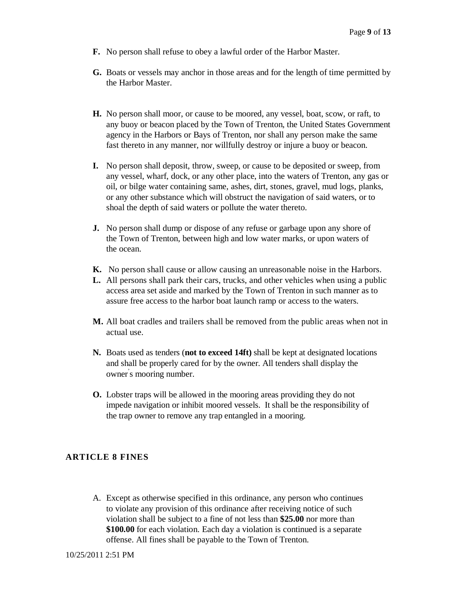- **F.** No person shall refuse to obey a lawful order of the Harbor Master.
- **G.** Boats or vessels may anchor in those areas and for the length of time permitted by the Harbor Master.
- **H.** No person shall moor, or cause to be moored, any vessel, boat, scow, or raft, to any buoy or beacon placed by the Town of Trenton, the United States Government agency in the Harbors or Bays of Trenton, nor shall any person make the same fast thereto in any manner, nor willfully destroy or injure a buoy or beacon.
- **I.** No person shall deposit, throw, sweep, or cause to be deposited or sweep, from any vessel, wharf, dock, or any other place, into the waters of Trenton, any gas or oil, or bilge water containing same, ashes, dirt, stones, gravel, mud logs, planks, or any other substance which will obstruct the navigation of said waters, or to shoal the depth of said waters or pollute the water thereto.
- **J.** No person shall dump or dispose of any refuse or garbage upon any shore of the Town of Trenton, between high and low water marks, or upon waters of the ocean.
- **K.** No person shall cause or allow causing an unreasonable noise in the Harbors.
- **L.** All persons shall park their cars, trucks, and other vehicles when using a public access area set aside and marked by the Town of Trenton in such manner as to assure free access to the harbor boat launch ramp or access to the waters.
- **M.** All boat cradles and trailers shall be removed from the public areas when not in actual use.
- **N.** Boats used as tenders (**not to exceed 14ft)** shall be kept at designated locations and shall be properly cared for by the owner. All tenders shall display the owner' s mooring number.
- **O.** Lobster traps will be allowed in the mooring areas providing they do not impede navigation or inhibit moored vessels. It shall be the responsibility of the trap owner to remove any trap entangled in a mooring.

# **ARTICLE 8 FINES**

A. Except as otherwise specified in this ordinance, any person who continues to violate any provision of this ordinance after receiving notice of such violation shall be subject to a fine of not less than **\$25.00** nor more than **\$100.00** for each violation. Each day a violation is continued is a separate offense. All fines shall be payable to the Town of Trenton.

10/25/2011 2:51 PM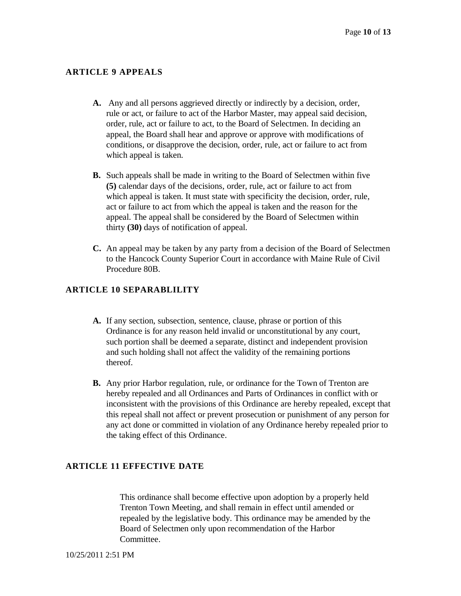# **ARTICLE 9 APPEALS**

- **A.** Any and all persons aggrieved directly or indirectly by a decision, order, rule or act, or failure to act of the Harbor Master, may appeal said decision, order, rule, act or failure to act, to the Board of Selectmen. In deciding an appeal, the Board shall hear and approve or approve with modifications of conditions, or disapprove the decision, order, rule, act or failure to act from which appeal is taken.
- **B.** Such appeals shall be made in writing to the Board of Selectmen within five **(5)** calendar days of the decisions, order, rule, act or failure to act from which appeal is taken. It must state with specificity the decision, order, rule, act or failure to act from which the appeal is taken and the reason for the appeal. The appeal shall be considered by the Board of Selectmen within thirty **(30)** days of notification of appeal.
- **C.** An appeal may be taken by any party from a decision of the Board of Selectmen to the Hancock County Superior Court in accordance with Maine Rule of Civil Procedure 80B.

# **ARTICLE 10 SEPARABLILITY**

- **A.** If any section, subsection, sentence, clause, phrase or portion of this Ordinance is for any reason held invalid or unconstitutional by any court, such portion shall be deemed a separate, distinct and independent provision and such holding shall not affect the validity of the remaining portions thereof.
- **B.** Any prior Harbor regulation, rule, or ordinance for the Town of Trenton are hereby repealed and all Ordinances and Parts of Ordinances in conflict with or inconsistent with the provisions of this Ordinance are hereby repealed, except that this repeal shall not affect or prevent prosecution or punishment of any person for any act done or committed in violation of any Ordinance hereby repealed prior to the taking effect of this Ordinance.

#### **ARTICLE 11 EFFECTIVE DATE**

This ordinance shall become effective upon adoption by a properly held Trenton Town Meeting, and shall remain in effect until amended or repealed by the legislative body. This ordinance may be amended by the Board of Selectmen only upon recommendation of the Harbor Committee.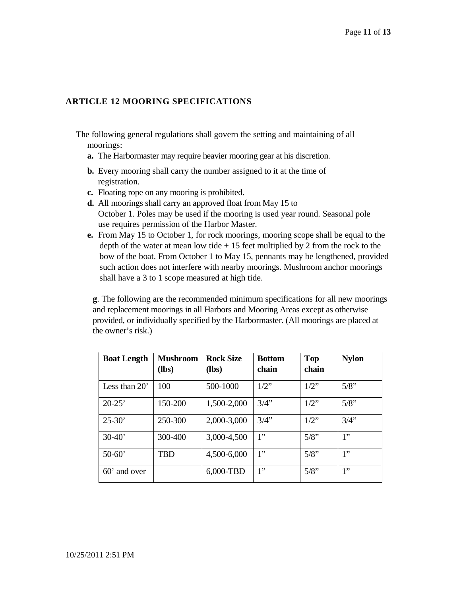# **ARTICLE 12 MOORING SPECIFICATIONS**

- The following general regulations shall govern the setting and maintaining of all moorings:
	- **a.** The Harbormaster may require heavier mooring gear at his discretion.
	- **b.** Every mooring shall carry the number assigned to it at the time of registration.
	- **c.** Floating rope on any mooring is prohibited.
	- **d.** All moorings shall carry an approved float from May 15 to October 1. Poles may be used if the mooring is used year round. Seasonal pole use requires permission of the Harbor Master.
	- **e.** From May 15 to October 1, for rock moorings, mooring scope shall be equal to the depth of the water at mean low tide  $+15$  feet multiplied by 2 from the rock to the bow of the boat. From October 1 to May 15, pennants may be lengthened, provided such action does not interfere with nearby moorings. Mushroom anchor moorings shall have a 3 to 1 scope measured at high tide.

**g**. The following are the recommended minimum specifications for all new moorings and replacement moorings in all Harbors and Mooring Areas except as otherwise provided, or individually specified by the Harbormaster. (All moorings are placed at the owner's risk.)

| <b>Boat Length</b> | <b>Mushroom</b><br>$(lbs)$ | <b>Rock Size</b><br>(lbs) | <b>Bottom</b><br>chain | Top<br>chain | <b>Nylon</b> |
|--------------------|----------------------------|---------------------------|------------------------|--------------|--------------|
| Less than $20'$    | 100                        | 500-1000                  | $1/2$ "                | $1/2$ "      | 5/8"         |
| $20-25'$           | 150-200                    | 1,500-2,000               | 3/4"                   | $1/2$ "      | 5/8"         |
| $25 - 30'$         | 250-300                    | 2,000-3,000               | 3/4"                   | $1/2$ "      | 3/4"         |
| $30-40'$           | 300-400                    | 3,000-4,500               | 1"                     | 5/8"         | 1"           |
| $50 - 60'$         | TBD                        | 4,500-6,000               | 1"                     | $5/8$ "      | 1"           |
| $60'$ and over     |                            | 6,000-TBD                 | 1"                     | 5/8"         | 1"           |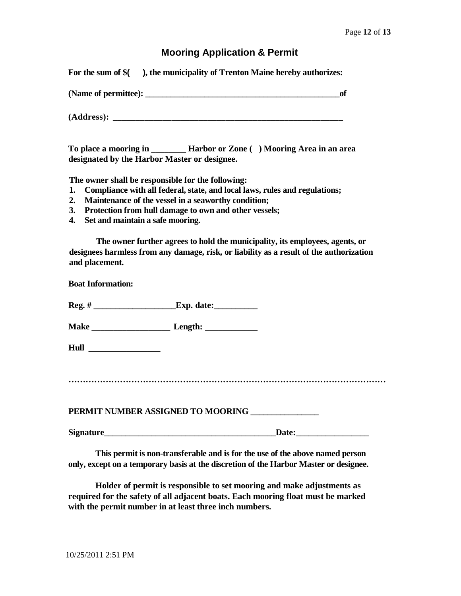# **Mooring Application & Permit**

| For the sum of \$( | ), the municipality of Trenton Maine hereby authorizes: |
|--------------------|---------------------------------------------------------|
|                    |                                                         |

| (Name of permittee): |  |
|----------------------|--|
|                      |  |
|                      |  |
| (Address):           |  |

| To place a mooring in                        | Harbor or Zone () Mooring Area in an area |
|----------------------------------------------|-------------------------------------------|
| designated by the Harbor Master or designee. |                                           |

**The owner shall be responsible for the following:**

- **1. Compliance with all federal, state, and local laws, rules and regulations;**
- **2. Maintenance of the vessel in a seaworthy condition;**
- **3. Protection from hull damage to own and other vessels;**
- **4. Set and maintain a safe mooring.**

**The owner further agrees to hold the municipality, its employees, agents, or designees harmless from any damage, risk, or liability as a result of the authorization and placement.**

**Boat Information:**

**Reg. # \_\_\_\_\_\_\_\_\_\_\_\_\_\_\_\_\_\_\_Exp. date:\_\_\_\_\_\_\_\_\_\_**

**Make \_\_\_\_\_\_\_\_\_\_\_\_\_\_\_\_\_\_ Length: \_\_\_\_\_\_\_\_\_\_\_\_**

**Hull \_\_\_\_\_\_\_\_\_\_\_\_\_\_\_\_\_**

**…………………………………………………………………………………………………**

PERMIT NUMBER ASSIGNED TO MOORING **\_\_\_\_\_\_\_\_\_\_\_\_\_** 

**Signature Date:** 

**This permit is non-transferable and is for the use of the above named person only, except on a temporary basis at the discretion of the Harbor Master or designee.**

**Holder of permit is responsible to set mooring and make adjustments as required for the safety of all adjacent boats. Each mooring float must be marked with the permit number in at least three inch numbers.**